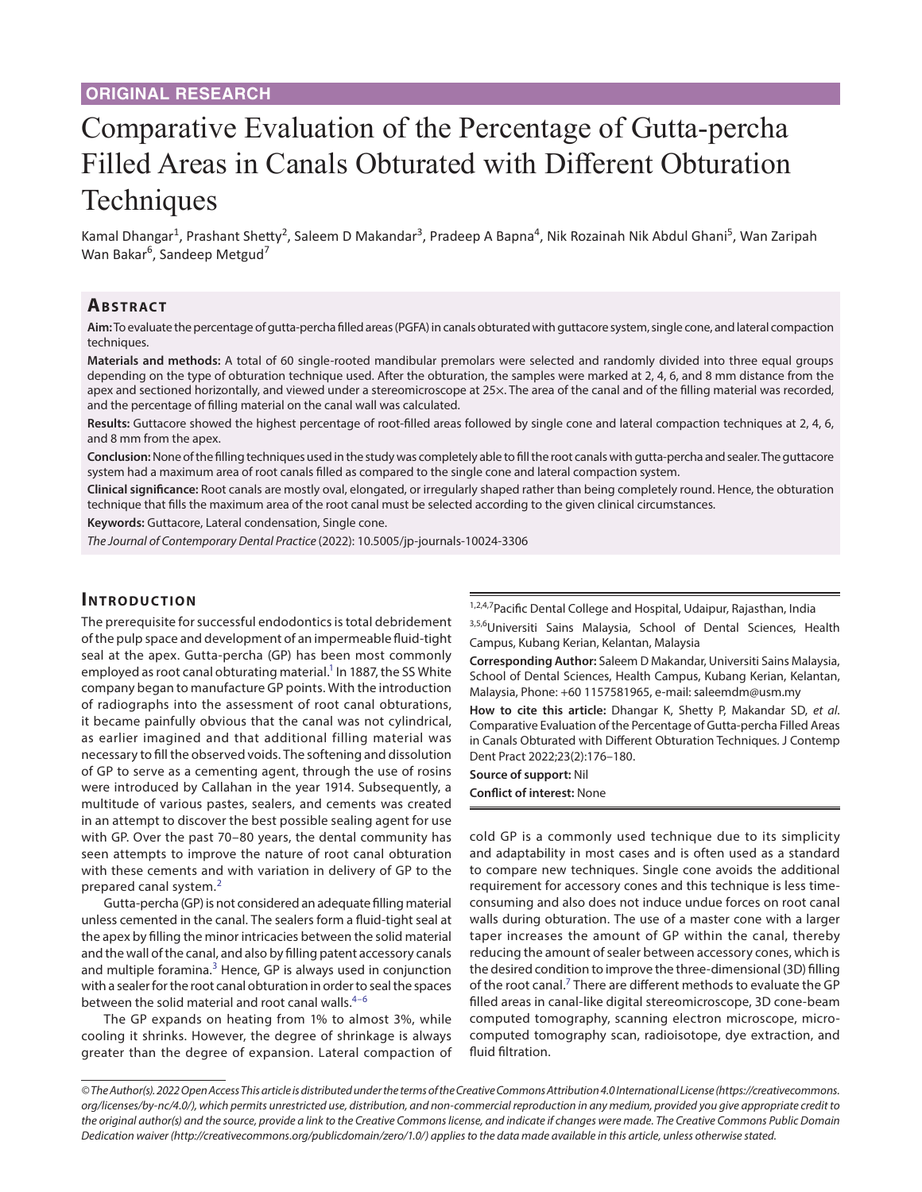# Comparative Evaluation of the Percentage of Gutta-percha Filled Areas in Canals Obturated with Different Obturation **Techniques**

Kamal Dhangar<sup>1</sup>, Prashant Shetty<sup>2</sup>, Saleem D Makandar<sup>3</sup>, Pradeep A Bapna<sup>4</sup>, Nik Rozainah Nik Abdul Ghani<sup>5</sup>, Wan Zaripah Wan Bakar<sup>6</sup>, Sandeep Metgud<sup>7</sup>

# **ABSTRACT**

**Aim:** To evaluate the percentage of gutta-percha filled areas (PGFA) in canals obturated with guttacore system, single cone, and lateral compaction techniques.

**Materials and methods:** A total of 60 single-rooted mandibular premolars were selected and randomly divided into three equal groups depending on the type of obturation technique used. After the obturation, the samples were marked at 2, 4, 6, and 8 mm distance from the apex and sectioned horizontally, and viewed under a stereomicroscope at 25x. The area of the canal and of the filling material was recorded, and the percentage of filling material on the canal wall was calculated.

**Results:** Guttacore showed the highest percentage of root-filled areas followed by single cone and lateral compaction techniques at 2, 4, 6, and 8 mm from the apex.

**Conclusion:** None of the filling techniques used in the study was completely able to fill the root canals with gutta-percha and sealer. The guttacore system had a maximum area of root canals filled as compared to the single cone and lateral compaction system.

**Clinical significance:** Root canals are mostly oval, elongated, or irregularly shaped rather than being completely round. Hence, the obturation technique that fills the maximum area of the root canal must be selected according to the given clinical circumstances.

**Keywords:** Guttacore, Lateral condensation, Single cone.

*The Journal of Contemporary Dental Practice* (2022): 10.5005/jp-journals-10024-3306

## **INTRODUCTION**

The prerequisite for successful endodontics is total debridement of the pulp space and development of an impermeable fluid-tight seal at the apex. Gutta-percha (GP) has been most commonly employed as root canal obturating material.<sup>1</sup> In 1887, the SS White company began to manufacture GP points. With the introduction of radiographs into the assessment of root canal obturations, it became painfully obvious that the canal was not cylindrical, as earlier imagined and that additional filling material was necessary to fill the observed voids. The softening and dissolution of GP to serve as a cementing agent, through the use of rosins were introduced by Callahan in the year 1914. Subsequently, a multitude of various pastes, sealers, and cements was created in an attempt to discover the best possible sealing agent for use with GP. Over the past 70–80 years, the dental community has seen attempts to improve the nature of root canal obturation with these cements and with variation in delivery of GP to the prepared canal system.<sup>[2](#page-3-1)</sup>

Gutta-percha (GP) is not considered an adequate filling material unless cemented in the canal. The sealers form a fluid-tight seal at the apex by filling the minor intricacies between the solid material and the wall of the canal, and also by filling patent accessory canals and multiple foramina.<sup>[3](#page-3-2)</sup> Hence, GP is always used in conjunction with a sealer for the root canal obturation in order to seal the spaces between the solid material and root canal walls. $4-6$  $4-6$  $4-6$ 

The GP expands on heating from 1% to almost 3%, while cooling it shrinks. However, the degree of shrinkage is always greater than the degree of expansion. Lateral compaction of <sup>1,2,4,7</sup> Pacific Dental College and Hospital, Udaipur, Rajasthan, India

3,5,6Universiti Sains Malaysia, School of Dental Sciences, Health Campus, Kubang Kerian, Kelantan, Malaysia

**Corresponding Author:** Saleem D Makandar, Universiti Sains Malaysia, School of Dental Sciences, Health Campus, Kubang Kerian, Kelantan, Malaysia, Phone: +60 1157581965, e-mail: saleemdm@usm.my

**How to cite this article:** Dhangar K, Shetty P, Makandar SD, *et al*. Comparative Evaluation of the Percentage of Gutta-percha Filled Areas in Canals Obturated with Different Obturation Techniques. J Contemp Dent Pract 2022;23(2):176–180.

**Source of support:** Nil **Conflict of interest:** None

cold GP is a commonly used technique due to its simplicity and adaptability in most cases and is often used as a standard to compare new techniques. Single cone avoids the additional requirement for accessory cones and this technique is less timeconsuming and also does not induce undue forces on root canal walls during obturation. The use of a master cone with a larger taper increases the amount of GP within the canal, thereby reducing the amount of sealer between accessory cones, which is the desired condition to improve the three-dimensional (3D) filling of the root canal.<sup>[7](#page-4-1)</sup> There are different methods to evaluate the GP filled areas in canal-like digital stereomicroscope, 3D cone-beam computed tomography, scanning electron microscope, microcomputed tomography scan, radioisotope, dye extraction, and fluid filtration.

*<sup>©</sup> The Author(s). 2022 Open Access This article is distributed under the terms of the Creative Commons Attribution 4.0 International License ([https://creativecommons.](https://creativecommons.org/licenses/by-nc/4.0/) [org/licenses/by-nc/4.0/](https://creativecommons.org/licenses/by-nc/4.0/)), which permits unrestricted use, distribution, and non-commercial reproduction in any medium, provided you give appropriate credit to the original author(s) and the source, provide a link to the Creative Commons license, and indicate if changes were made. The Creative Commons Public Domain Dedication waiver ([http://creativecommons.org/publicdomain/zero/1.0/\)](http://creativecommons.org/publicdomain/zero/1.0/) applies to the data made available in this article, unless otherwise stated.*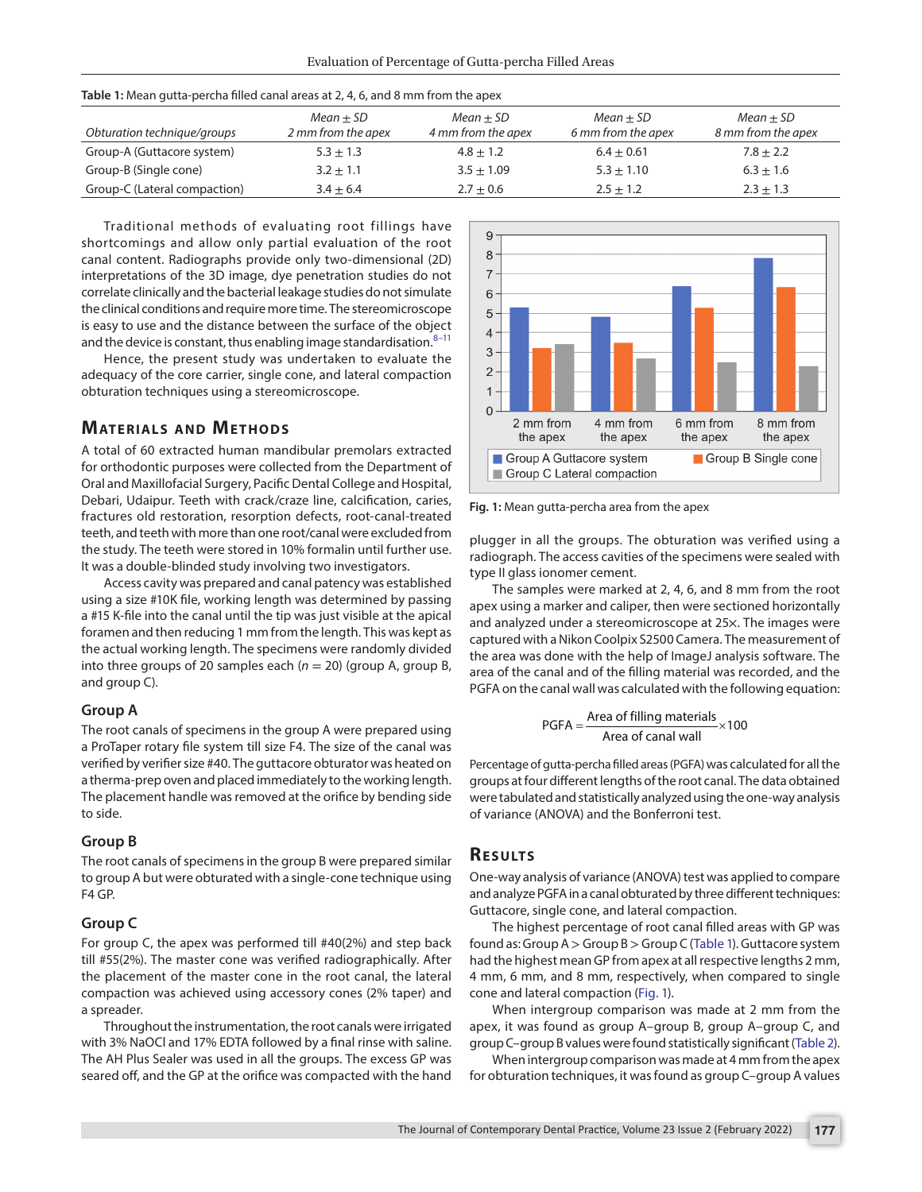| Obturation technique/groups  | Mean $\pm$ SD<br>2 mm from the apex | $Mean + SD$<br>4 mm from the apex | $Mean + SD$<br>6 mm from the apex | $Mean + SD$<br>8 mm from the apex |
|------------------------------|-------------------------------------|-----------------------------------|-----------------------------------|-----------------------------------|
| Group-A (Guttacore system)   | $5.3 \pm 1.3$                       | $4.8 + 1.2$                       | $6.4 + 0.61$                      | $7.8 \pm 2.2$                     |
| Group-B (Single cone)        | $3.2 + 1.1$                         | $3.5 + 1.09$                      | $5.3 + 1.10$                      | $6.3 \pm 1.6$                     |
| Group-C (Lateral compaction) | $3.4 + 6.4$                         | $2.7 + 0.6$                       | $2.5 + 1.2$                       | $2.3 \pm 1.3$                     |

<span id="page-1-0"></span>**Table 1:** Mean gutta-percha filled canal areas at 2, 4, 6, and 8 mm from the apex

Traditional methods of evaluating root fillings have shortcomings and allow only partial evaluation of the root canal content. Radiographs provide only two-dimensional (2D) interpretations of the 3D image, dye penetration studies do not correlate clinically and the bacterial leakage studies do not simulate the clinical conditions and require more time. The stereomicroscope is easy to use and the distance between the surface of the object and the device is constant, thus enabling image standardisation. $8-11$  $8-11$ 

Hence, the present study was undertaken to evaluate the adequacy of the core carrier, single cone, and lateral compaction obturation techniques using a stereomicroscope.

## **MATERIALS AND METHODS**

A total of 60 extracted human mandibular premolars extracted for orthodontic purposes were collected from the Department of Oral and Maxillofacial Surgery, Pacific Dental College and Hospital, Debari, Udaipur. Teeth with crack/craze line, calcification, caries, fractures old restoration, resorption defects, root-canal-treated teeth, and teeth with more than one root/canal were excluded from the study. The teeth were stored in 10% formalin until further use. It was a double-blinded study involving two investigators.

Access cavity was prepared and canal patency was established using a size #10K file, working length was determined by passing a #15 K-file into the canal until the tip was just visible at the apical foramen and then reducing 1 mm from the length. This was kept as the actual working length. The specimens were randomly divided into three groups of 20 samples each (*n* = 20) (group A, group B, and group C).

#### **Group A**

The root canals of specimens in the group A were prepared using a ProTaper rotary file system till size F4. The size of the canal was verified by verifier size #40. The guttacore obturator was heated on a therma-prep oven and placed immediately to the working length. The placement handle was removed at the orifice by bending side to side.

#### **Group B**

The root canals of specimens in the group B were prepared similar to group A but were obturated with a single-cone technique using F4 GP.

#### **Group C**

For group C, the apex was performed till #40(2%) and step back till #55(2%). The master cone was verified radiographically. After the placement of the master cone in the root canal, the lateral compaction was achieved using accessory cones (2% taper) and a spreader.

Throughout the instrumentation, the root canals were irrigated with 3% NaOCl and 17% EDTA followed by a final rinse with saline. The AH Plus Sealer was used in all the groups. The excess GP was seared off, and the GP at the orifice was compacted with the hand



<span id="page-1-1"></span>**Fig. 1:** Mean gutta-percha area from the apex

plugger in all the groups. The obturation was verified using a radiograph. The access cavities of the specimens were sealed with type II glass ionomer cement.

The samples were marked at 2, 4, 6, and 8 mm from the root apex using a marker and caliper, then were sectioned horizontally and analyzed under a stereomicroscope at 25×. The images were captured with a Nikon Coolpix S2500 Camera. The measurement of the area was done with the help of ImageJ analysis software. The area of the canal and of the filling material was recorded, and the PGFA on the canal wall was calculated with the following equation:

PGFA = 
$$
\frac{\text{Area of filling materials}}{\text{Area of canal wall}} \times 100
$$

Percentage of gutta-percha filled areas (PGFA) was calculated for all the groups at four different lengths of the root canal. The data obtained were tabulated and statistically analyzed using the one-way analysis of variance (ANOVA) and the Bonferroni test.

## **RESULTS**

One-way analysis of variance (ANOVA) test was applied to compare and analyze PGFA in a canal obturated by three different techniques: Guttacore, single cone, and lateral compaction.

The highest percentage of root canal filled areas with GP was found as: Group A > Group B > Group C ([Table 1](#page-1-0)). Guttacore system had the highest mean GP from apex at all respective lengths 2 mm, 4 mm, 6 mm, and 8 mm, respectively, when compared to single cone and lateral compaction [\(Fig. 1](#page-1-1)).

When intergroup comparison was made at 2 mm from the apex, it was found as group A–group B, group A–group C, and group C–group B values were found statistically significant [\(Table 2\)](#page-2-0).

When intergroup comparison was made at 4 mm from the apex for obturation techniques, it was found as group C–group A values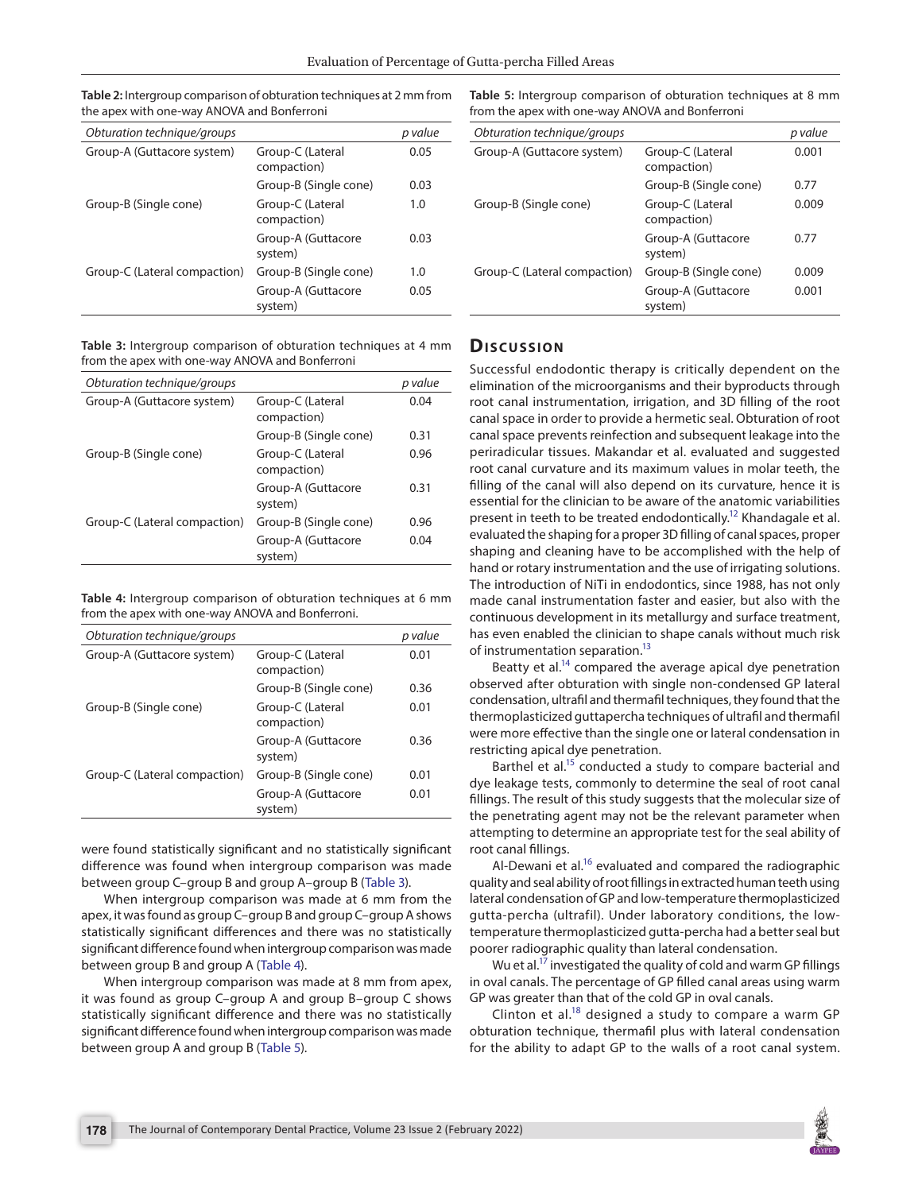<span id="page-2-0"></span>**Table 2:** Intergroup comparison of obturation techniques at 2 mm from the apex with one-way ANOVA and Bonferroni

| Obturation technique/groups  | p value                         |      |
|------------------------------|---------------------------------|------|
| Group-A (Guttacore system)   | Group-C (Lateral<br>compaction) | 0.05 |
|                              | Group-B (Single cone)           | 0.03 |
| Group-B (Single cone)        | Group-C (Lateral<br>compaction) | 1.0  |
|                              | Group-A (Guttacore<br>system)   | 0.03 |
| Group-C (Lateral compaction) | Group-B (Single cone)           | 1.0  |
|                              | Group-A (Guttacore<br>system)   | 0.05 |

<span id="page-2-1"></span>**Table 3:** Intergroup comparison of obturation techniques at 4 mm from the apex with one-way ANOVA and Bonferroni

| Obturation technique/groups  |                                 | p value |
|------------------------------|---------------------------------|---------|
| Group-A (Guttacore system)   | Group-C (Lateral<br>compaction) | 0.04    |
|                              | Group-B (Single cone)           | 0.31    |
| Group-B (Single cone)        | Group-C (Lateral<br>compaction) | 0.96    |
|                              | Group-A (Guttacore<br>system)   | 0.31    |
| Group-C (Lateral compaction) | Group-B (Single cone)           | 0.96    |
|                              | Group-A (Guttacore<br>system)   | 0.04    |

<span id="page-2-2"></span>**Table 4:** Intergroup comparison of obturation techniques at 6 mm from the apex with one-way ANOVA and Bonferroni.

| Obturation technique/groups  | p value                         |      |
|------------------------------|---------------------------------|------|
| Group-A (Guttacore system)   | Group-C (Lateral<br>compaction) | 0.01 |
|                              | Group-B (Single cone)           | 0.36 |
| Group-B (Single cone)        | Group-C (Lateral<br>compaction) | 0.01 |
|                              | Group-A (Guttacore<br>system)   | 0.36 |
| Group-C (Lateral compaction) | Group-B (Single cone)           | 0.01 |
|                              | Group-A (Guttacore<br>system)   | 0.01 |

were found statistically significant and no statistically significant difference was found when intergroup comparison was made between group C–group B and group A–group B [\(Table 3\)](#page-2-1).

When intergroup comparison was made at 6 mm from the apex, it was found as group C–group B and group C–group A shows statistically significant differences and there was no statistically significant difference found when intergroup comparison was made between group B and group A ([Table 4\)](#page-2-2).

When intergroup comparison was made at 8 mm from apex, it was found as group C–group A and group B–group C shows statistically significant difference and there was no statistically significant difference found when intergroup comparison was made between group A and group B ([Table 5\)](#page-2-3).

<span id="page-2-3"></span>**Table 5:** Intergroup comparison of obturation techniques at 8 mm from the apex with one-way ANOVA and Bonferroni

| Obturation technique/groups  |                                 | p value |
|------------------------------|---------------------------------|---------|
| Group-A (Guttacore system)   | Group-C (Lateral<br>compaction) | 0.001   |
|                              | Group-B (Single cone)           | 0.77    |
| Group-B (Single cone)        | Group-C (Lateral<br>compaction) | 0.009   |
|                              | Group-A (Guttacore<br>system)   | 0.77    |
| Group-C (Lateral compaction) | Group-B (Single cone)           | 0.009   |
|                              | Group-A (Guttacore<br>system)   | 0.001   |

## **Dis c u s sio n**

Successful endodontic therapy is critically dependent on the elimination of the microorganisms and their byproducts through root canal instrumentation, irrigation, and 3D filling of the root canal space in order to provide a hermetic seal. Obturation of root canal space prevents reinfection and subsequent leakage into the periradicular tissues. Makandar et al. evaluated and suggested root canal curvature and its maximum values in molar teeth, the filling of the canal will also depend on its curvature, hence it is essential for the clinician to be aware of the anatomic variabilities present in teeth to be treated endodontically.<sup>12</sup> Khandagale et al. evaluated the shaping for a proper 3D filling of canal spaces, proper shaping and cleaning have to be accomplished with the help of hand or rotary instrumentation and the use of irrigating solutions. The introduction of NiTi in endodontics, since 1988, has not only made canal instrumentation faster and easier, but also with the continuous development in its metallurgy and surface treatment, has even enabled the clinician to shape canals without much risk of instrumentation separation[.13](#page-4-5)

Beatty et al. $14$  compared the average apical dye penetration observed after obturation with single non-condensed GP lateral condensation, ultrafil and thermafil techniques, they found that the thermoplasticized guttapercha techniques of ultrafil and thermafil were more effective than the single one or lateral condensation in restricting apical dye penetration.

Barthel et al. $15$  conducted a study to compare bacterial and dye leakage tests, commonly to determine the seal of root canal fillings. The result of this study suggests that the molecular size of the penetrating agent may not be the relevant parameter when attempting to determine an appropriate test for the seal ability of root canal fillings.

Al-Dewani et al.<sup>16</sup> evaluated and compared the radiographic quality and seal ability of root fillings in extracted human teeth using lateral condensation of GP and low-temperature thermoplasticized gutta-percha (ultrafil). Under laboratory conditions, the lowtemperature thermoplasticized gutta-percha had a better seal but poorer radiographic quality than lateral condensation.

Wu et al.<sup>17</sup> investigated the quality of cold and warm GP fillings in oval canals. The percentage of GP filled canal areas using warm GP was greater than that of the cold GP in oval canals.

Clinton et  $al.^{18}$  designed a study to compare a warm GP obturation technique, thermafil plus with lateral condensation for the ability to adapt GP to the walls of a root canal system.

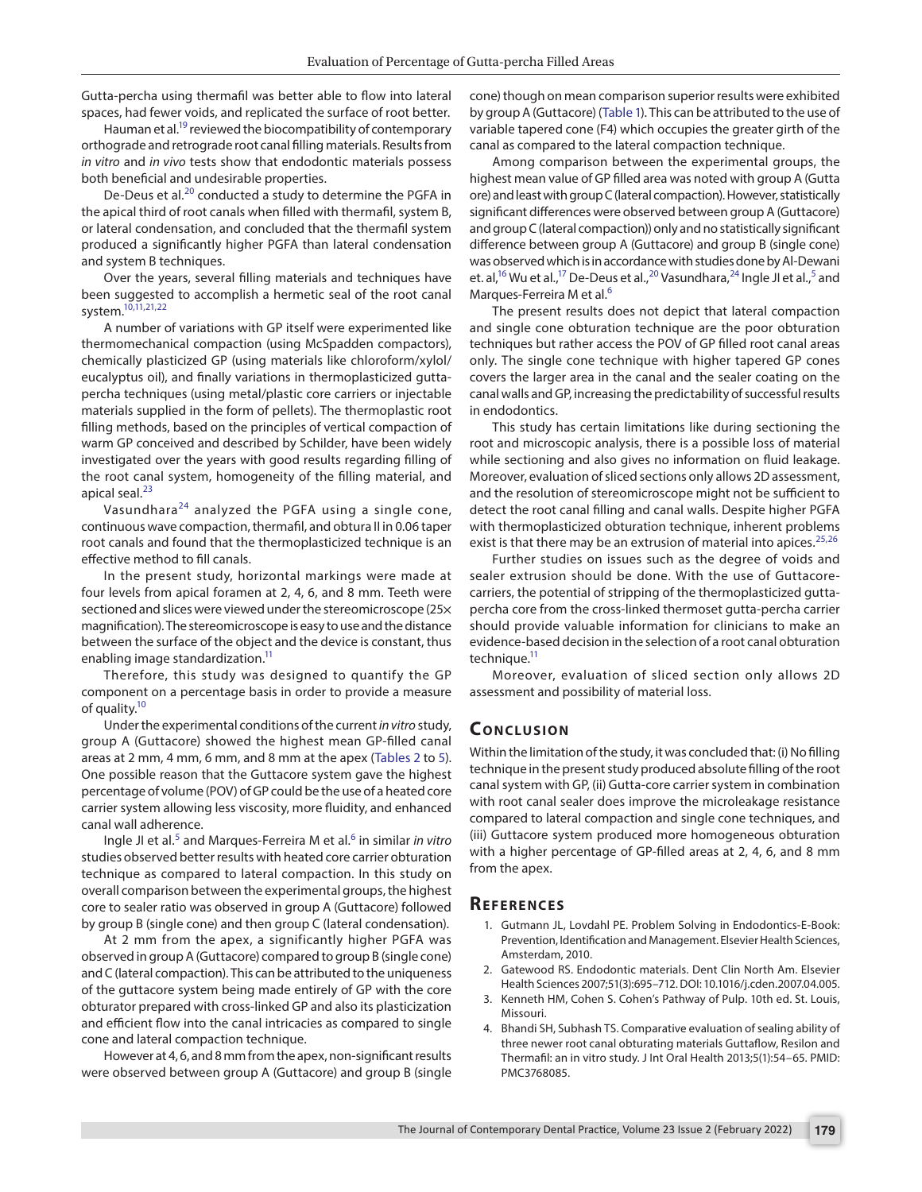Gutta-percha using thermafil was better able to flow into lateral spaces, had fewer voids, and replicated the surface of root better.

Hauman et al.<sup>19</sup> reviewed the biocompatibility of contemporary orthograde and retrograde root canal filling materials. Results from *in vitro* and *in vivo* tests show that endodontic materials possess both beneficial and undesirable properties.

De-Deus et al.<sup>[20](#page-4-12)</sup> conducted a study to determine the PGFA in the apical third of root canals when filled with thermafil, system B, or lateral condensation, and concluded that the thermafil system produced a significantly higher PGFA than lateral condensation and system B techniques.

Over the years, several filling materials and techniques have been suggested to accomplish a hermetic seal of the root canal system[.10](#page-4-13)[,11](#page-4-3),[21,](#page-4-14)[22](#page-4-15)

A number of variations with GP itself were experimented like thermomechanical compaction (using McSpadden compactors), chemically plasticized GP (using materials like chloroform/xylol/ eucalyptus oil), and finally variations in thermoplasticized guttapercha techniques (using metal/plastic core carriers or injectable materials supplied in the form of pellets). The thermoplastic root filling methods, based on the principles of vertical compaction of warm GP conceived and described by Schilder, have been widely investigated over the years with good results regarding filling of the root canal system, homogeneity of the filling material, and apical seal. $23$ 

Vasundhara[24](#page-4-17) analyzed the PGFA using a single cone, continuous wave compaction, thermafil, and obtura II in 0.06 taper root canals and found that the thermoplasticized technique is an effective method to fill canals.

In the present study, horizontal markings were made at four levels from apical foramen at 2, 4, 6, and 8 mm. Teeth were sectioned and slices were viewed under the stereomicroscope (25× magnification). The stereomicroscope is easy to use and the distance between the surface of the object and the device is constant, thus enabling image standardization.<sup>11</sup>

Therefore, this study was designed to quantify the GP component on a percentage basis in order to provide a measure of quality.<sup>10</sup>

Under the experimental conditions of the current *in vitro* study, group A (Guttacore) showed the highest mean GP-filled canal areas at 2 mm, 4 mm, 6 mm, and 8 mm at the apex ([Tables 2](#page-2-0) to [5\)](#page-2-3). One possible reason that the Guttacore system gave the highest percentage of volume (POV) of GP could be the use of a heated core carrier system allowing less viscosity, more fluidity, and enhanced canal wall adherence.

Ingle JI et al.<sup>[5](#page-4-18)</sup> and Marques-Ferreira M et al.<sup>[6](#page-4-0)</sup> in similar *in vitro* studies observed better results with heated core carrier obturation technique as compared to lateral compaction. In this study on overall comparison between the experimental groups, the highest core to sealer ratio was observed in group A (Guttacore) followed by group B (single cone) and then group C (lateral condensation).

At 2 mm from the apex, a significantly higher PGFA was observed in group A (Guttacore) compared to group B (single cone) and C (lateral compaction). This can be attributed to the uniqueness of the guttacore system being made entirely of GP with the core obturator prepared with cross-linked GP and also its plasticization and efficient flow into the canal intricacies as compared to single cone and lateral compaction technique.

However at 4, 6, and 8 mm from the apex, non-significant results were observed between group A (Guttacore) and group B (single

cone) though on mean comparison superior results were exhibited by group A (Guttacore) [\(Table 1\)](#page-1-0). This can be attributed to the use of variable tapered cone (F4) which occupies the greater girth of the canal as compared to the lateral compaction technique.

Among comparison between the experimental groups, the highest mean value of GP filled area was noted with group A (Gutta ore) and least with group C (lateral compaction). However, statistically significant differences were observed between group A (Guttacore) and group C (lateral compaction)) only and no statistically significant difference between group A (Guttacore) and group B (single cone) was observed which is in accordance with studies done by Al-Dewani et. al,<sup>16</sup> Wu et al.,<sup>17</sup> De-Deus et al.,<sup>20</sup> Vasundhara,<sup>[24](#page-4-17)</sup> Ingle JI et al.,<sup>[5](#page-4-18)</sup> and Marques-Ferreira M et al.<sup>6</sup>

The present results does not depict that lateral compaction and single cone obturation technique are the poor obturation techniques but rather access the POV of GP filled root canal areas only. The single cone technique with higher tapered GP cones covers the larger area in the canal and the sealer coating on the canal walls and GP, increasing the predictability of successful results in endodontics.

This study has certain limitations like during sectioning the root and microscopic analysis, there is a possible loss of material while sectioning and also gives no information on fluid leakage. Moreover, evaluation of sliced sections only allows 2D assessment, and the resolution of stereomicroscope might not be sufficient to detect the root canal filling and canal walls. Despite higher PGFA with thermoplasticized obturation technique, inherent problems exist is that there may be an extrusion of material into apices.  $25,26$  $25,26$ 

Further studies on issues such as the degree of voids and sealer extrusion should be done. With the use of Guttacorecarriers, the potential of stripping of the thermoplasticized guttapercha core from the cross-linked thermoset gutta-percha carrier should provide valuable information for clinicians to make an evidence-based decision in the selection of a root canal obturation technique.<sup>11</sup>

Moreover, evaluation of sliced section only allows 2D assessment and possibility of material loss.

## **CONCLUSION**

Within the limitation of the study, it was concluded that: (i) No filling technique in the present study produced absolute filling of the root canal system with GP, (ii) Gutta-core carrier system in combination with root canal sealer does improve the microleakage resistance compared to lateral compaction and single cone techniques, and (iii) Guttacore system produced more homogeneous obturation with a higher percentage of GP-filled areas at 2, 4, 6, and 8 mm from the apex.

## **Re f e r e n c e s**

- <span id="page-3-0"></span>1. Gutmann JL, Lovdahl PE. Problem Solving in Endodontics-E-Book: Prevention, Identification and Management. Elsevier Health Sciences, Amsterdam, 2010.
- <span id="page-3-1"></span>2. Gatewood RS. Endodontic materials. Dent Clin North Am. Elsevier Health Sciences 2007;51(3):695–712. DOI: 10.1016/j.cden.2007.04.005.
- <span id="page-3-2"></span>3. Kenneth HM, Cohen S. Cohen's Pathway of Pulp. 10th ed. St. Louis, Missouri.
- <span id="page-3-3"></span>4. Bhandi SH, Subhash TS. Comparative evaluation of sealing ability of three newer root canal obturating materials Guttaflow, Resilon and Thermafil: an in vitro study. J Int Oral Health 2013;5(1):54–65. PMID: PMC3768085.